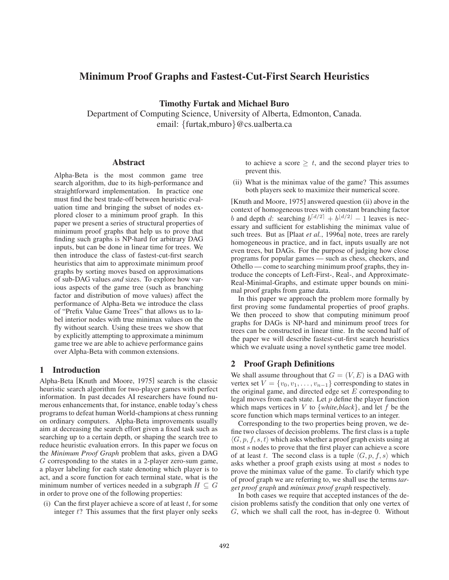# Minimum Proof Graphs and Fastest-Cut-First Search Heuristics

Timothy Furtak and Michael Buro

Department of Computing Science, University of Alberta, Edmonton, Canada. email: {furtak,mburo}@cs.ualberta.ca

#### Abstract

Alpha-Beta is the most common game tree search algorithm, due to its high-performance and straightforward implementation. In practice one must find the best trade-off between heuristic evaluation time and bringing the subset of nodes explored closer to a minimum proof graph. In this paper we present a series of structural properties of minimum proof graphs that help us to prove that finding such graphs is NP-hard for arbitrary DAG inputs, but can be done in linear time for trees. We then introduce the class of fastest-cut-first search heuristics that aim to approximate minimum proof graphs by sorting moves based on approximations of sub-DAG values *and* sizes. To explore how various aspects of the game tree (such as branching factor and distribution of move values) affect the performance of Alpha-Beta we introduce the class of "Prefix Value Game Trees" that allows us to label interior nodes with true minimax values on the fly without search. Using these trees we show that by explicitly attempting to approximate a minimum game tree we are able to achieve performance gains over Alpha-Beta with common extensions.

# 1 Introduction

Alpha-Beta [Knuth and Moore, 1975] search is the classic heuristic search algorithm for two-player games with perfect information. In past decades AI researchers have found numerous enhancements that, for instance, enable today's chess programs to defeat human World-champions at chess running on ordinary computers. Alpha-Beta improvements usually aim at decreasing the search effort given a fixed task such as searching up to a certain depth, or shaping the search tree to reduce heuristic evaluation errors. In this paper we focus on the *Minimum Proof Graph* problem that asks, given a DAG G corresponding to the states in a 2-player zero-sum game, a player labeling for each state denoting which player is to act, and a score function for each terminal state, what is the minimum number of vertices needed in a subgraph  $H \subseteq G$ in order to prove one of the following properties:

(i) Can the first player achieve a score of at least  $t$ , for some integer  $t$ ? This assumes that the first player only seeks to achieve a score  $\geq t$ , and the second player tries to prevent this.

(ii) What is the minimax value of the game? This assumes both players seek to maximize their numerical score.

[Knuth and Moore, 1975] answered question (ii) above in the context of homogeneous trees with constant branching factor b and depth d: searching  $b^{[d/2]} + b^{[d/2]} - 1$  leaves is necessary and sufficient for establishing the minimax value of such trees. But as [Plaat *et al.*, 1996a] note, trees are rarely homogeneous in practice, and in fact, inputs usually are not even trees, but DAGs. For the purpose of judging how close programs for popular games — such as chess, checkers, and Othello — come to searching minimum proof graphs, they introduce the concepts of Left-First-, Real-, and Approximate-Real-Minimal-Graphs, and estimate upper bounds on minimal proof graphs from game data.

In this paper we approach the problem more formally by first proving some fundamental properties of proof graphs. We then proceed to show that computing minimum proof graphs for DAGs is NP-hard and minimum proof trees for trees can be constructed in linear time. In the second half of the paper we will describe fastest-cut-first search heuristics which we evaluate using a novel synthetic game tree model.

# 2 Proof Graph Definitions

We shall assume throughout that  $G = (V, E)$  is a DAG with vertex set  $V = \{v_0, v_1, \ldots, v_{n-1}\}$  corresponding to states in the original game, and directed edge set  $E$  corresponding to legal moves from each state. Let  $p$  define the player function which maps vertices in  $V$  to  $\{white, black\}$ , and let  $f$  be the score function which maps terminal vertices to an integer.

Corresponding to the two properties being proven, we define two classes of decision problems. The first class is a tuple  $\langle G, p, f, s, t \rangle$  which asks whether a proof graph exists using at most s nodes to prove that the first player can achieve a score of at least t. The second class is a tuple  $\langle G, p, f, s \rangle$  which asks whether a proof graph exists using at most s nodes to prove the minimax value of the game. To clarify which type of proof graph we are referring to, we shall use the terms *target proof graph* and *minimax proof graph* respectively.

In both cases we require that accepted instances of the decision problems satisfy the condition that only one vertex of G, which we shall call the root, has in-degree 0. Without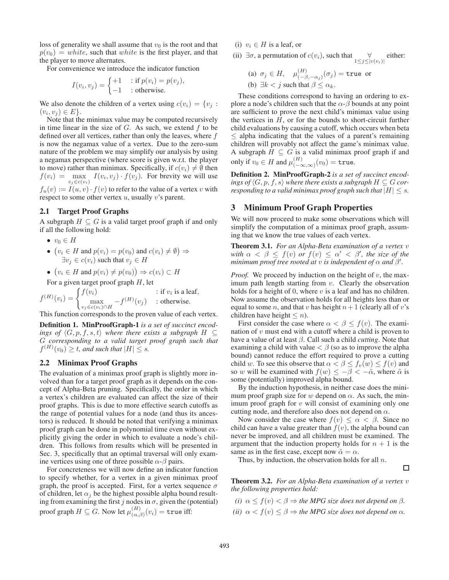loss of generality we shall assume that  $v_0$  is the root and that  $p(v_0) = white$ , such that white is the first player, and that the player to move alternates.

For convenience we introduce the indicator function

$$
I(v_i, v_j) = \begin{cases} +1 & \text{if } p(v_i) = p(v_j), \\ -1 & \text{otherwise.} \end{cases}
$$

We also denote the children of a vertex using  $c(v_i) = \{v_i :$  $(v_i, v_j) \in E$ .

Note that the minimax value may be computed recursively in time linear in the size of  $G$ . As such, we extend  $f$  to be defined over all vertices, rather than only the leaves, where f is now the negamax value of a vertex. Due to the zero-sum nature of the problem we may simplify our analysis by using a negamax perspective (where score is given w.r.t. the player to move) rather than minimax. Specifically, if  $c(v_i) \neq \emptyset$  then  $f(v_i) = \max_{v_j \in c(v_i)} I(v_i, v_j) \cdot f(v_j)$ . For brevity we will use  $f_u(v) := I(u, v) \cdot f(v)$  to refer to the value of a vertex v with

respect to some other vertex  $u$ , usually  $v$ 's parent.

#### 2.1 Target Proof Graphs

A subgraph  $H \subseteq G$  is a valid target proof graph if and only if all the following hold:

- $v_0 \in H$
- $(v_i \in H \text{ and } p(v_i) = p(v_0) \text{ and } c(v_i) \neq \emptyset) \Rightarrow$  $\exists v_j \in c(v_i)$  such that  $v_j \in H$

• 
$$
(v_i \in H \text{ and } p(v_i) \neq p(v_0)) \Rightarrow c(v_i) \subset H
$$

For a given target proof graph  $H$ , let

 $f^{(H)}(v_i) = \begin{cases} f(v_i) & \text{if } v_i \text{ is a leaf,} \\ \max_{i=1}^{\infty} f^{(H)}(v_i) & \text{otherwise.} \end{cases}$  $\max_{v_j \in c(v_i) \cap H} -f^{(H)}(v_j)$  : otherwise.

This function corresponds to the proven value of each vertex.

Definition 1. MinProofGraph-1 *is a set of succinct encodings of*  $\langle G, p, f, s, t \rangle$  *where there exists a subgraph*  $H \subseteq$ G *corresponding to a valid target proof graph such that*  $f^{(H)}(v_0) \geq t$ , and such that  $|H| \leq s$ .

#### 2.2 Minimax Proof Graphs

The evaluation of a minimax proof graph is slightly more involved than for a target proof graph as it depends on the concept of Alpha-Beta pruning. Specifically, the order in which a vertex's children are evaluated can affect the size of their proof graphs. This is due to more effective search cutoffs as the range of potential values for a node (and thus its ancestors) is reduced. It should be noted that verifying a minimax proof graph can be done in polynomial time even without explicitly giving the order in which to evaluate a node's children. This follows from results which will be presented in Sec. 3, specifically that an optimal traversal will only examine vertices using one of three possible  $\alpha$ - $\beta$  pairs.

For concreteness we will now define an indicator function to specify whether, for a vertex in a given minimax proof graph, the proof is accepted. First, for a vertex sequence  $\sigma$ of children, let  $\alpha_j$  be the highest possible alpha bound resulting from examining the first j nodes in  $\sigma$ , given the (potential) proof graph  $H \subseteq G$ . Now let  $\mu_{(\alpha,\beta)}^{(H)}(v_i) =$  true iff:

(i)  $v_i \in H$  is a leaf, or

- (ii)  $\exists \sigma$ , a permutation of  $c(v_i)$ , such that  $\forall$  either:
	- (a)  $\sigma_j \in H$ ,  $\mu_{(-\beta, -\alpha_j)}^{(H)}(\sigma_j) =$ true or (b)  $\exists k < j$  such that  $\beta < \alpha_k$ .

These conditions correspond to having an ordering to explore a node's children such that the  $\alpha$ - $\beta$  bounds at any point are sufficient to prove the next child's minimax value using the vertices in  $H$ , or for the bounds to short-circuit further child evaluations by causing a cutoff, which occurs when beta  $\leq$  alpha indicating that the values of a parent's remaining children will provably not affect the game's minimax value. A subgraph  $\hat{H} \subseteq G$  is a valid minimax proof graph if and only if  $v_0 \in H$  and  $\mu_{(-\infty,\infty)}^{(H)}(v_0) = \text{true}.$ 

Definition 2. MinProofGraph-2 *is a set of succinct encodings of*  $\langle G, p, f, s \rangle$  *where there exists a subgraph*  $H \subseteq G$  *corresponding to a valid minimax proof graph such that*  $|H| \leq s$ .

# 3 Minimum Proof Graph Properties

We will now proceed to make some observations which will simplify the computation of a minimax proof graph, assuming that we know the true values of each vertex.

Theorem 3.1. *For an Alpha-Beta examination of a vertex* v with  $\alpha < \beta \leq f(v)$  *or*  $f(v) \leq \alpha' < \beta'$ , the size of the *minimum proof tree rooted at v is independent of*  $\alpha$  *and*  $\beta'$ .

*Proof.* We proceed by induction on the height of  $v$ , the maximum path length starting from  $v$ . Clearly the observation holds for a height of 0, where  $v$  is a leaf and has no children. Now assume the observation holds for all heights less than or equal to some n, and that v has height  $n+1$  (clearly all of v's children have height  $\leq n$ ).

First consider the case where  $\alpha < \beta \leq f(v)$ . The examination of  $v$  must end with a cutoff where a child is proven to have a value of at least β. Call such a child *cutting*. Note that examining a child with value  $\lt \beta$  (so as to improve the alpha bound) cannot reduce the effort required to prove a cutting child w. To see this observe that  $\alpha < \beta \leq f_v(w) \leq f(v)$  and so w will be examined with  $f(w) \le -\beta < -\tilde{\alpha}$ , where  $\tilde{\alpha}$  is some (potentially) improved alpha bound.

By the induction hypothesis, in neither case does the minimum proof graph size for w depend on  $\alpha$ . As such, the minimum proof graph for  $v$  will consist of examining only one cutting node, and therefore also does not depend on  $\alpha$ .

Now consider the case where  $f(v) \leq \alpha < \beta$ . Since no child can have a value greater than  $f(v)$ , the alpha bound can never be improved, and all children must be examined. The argument that the induction property holds for  $n + 1$  is the same as in the first case, except now  $\tilde{\alpha} = \alpha$ .

Thus, by induction, the observation holds for all  $n$ .

Theorem 3.2. *For an Alpha-Beta examination of a vertex* v *the following properties hold:*

 $\Box$ 

- *(i)*  $\alpha \leq f(v) < \beta \Rightarrow$  *the MPG size does not depend on*  $\beta$ *.*
- *(ii)*  $\alpha < f(v) \leq \beta \Rightarrow$  *the MPG size does not depend on*  $\alpha$ *.*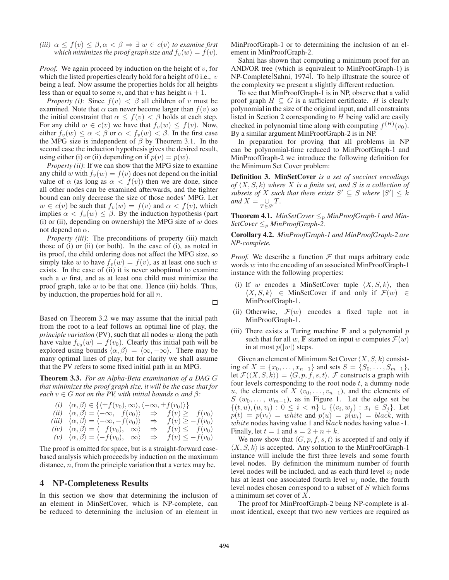*(iii)*  $\alpha \leq f(v) \leq \beta, \alpha < \beta \Rightarrow \exists w \in c(v)$  *to examine first which minimizes the proof graph size and*  $f_v(w) = f(v)$ *.* 

*Proof.* We again proceed by induction on the height of  $v$ , for which the listed properties clearly hold for a height of 0 i.e.,  $v$ being a leaf. Now assume the properties holds for all heights less than or equal to some *n*, and that *v* has height  $n + 1$ .

*Property (i)*: Since  $f(v) < \beta$  all children of v must be examined. Note that  $\alpha$  can never become larger than  $f(v)$  so the initial constraint that  $\alpha \leq f(v) < \beta$  holds at each step. For any child  $w \in c(v)$  we have that  $f_v(w) \leq f(v)$ . Now, either  $f_v(w) \leq \alpha < \beta$  or  $\alpha < f_v(w) < \beta$ . In the first case the MPG size is independent of  $\beta$  by Theorem 3.1. In the second case the induction hypothesis gives the desired result, using either (i) or (ii) depending on if  $p(v) = p(w)$ .

*Property (ii)*: If we can show that the MPG size to examine any child w with  $f_v(w) = f(v)$  does not depend on the initial value of  $\alpha$  (as long as  $\alpha < f(v)$ ) then we are done, since all other nodes can be examined afterwards, and the tighter bound can only decrease the size of those nodes' MPG. Let  $w \in c(v)$  be such that  $f_v(w) = f(v)$  and  $\alpha < f(v)$ , which implies  $\alpha < f_v(w) \leq \beta$ . By the induction hypothesis (part (i) or (ii), depending on ownership) the MPG size of  $w$  does not depend on  $\alpha$ .

*Property (iii)*: The preconditions of property (iii) match those of (i) or (ii) (or both). In the case of (i), as noted in its proof, the child ordering does not affect the MPG size, so simply take w to have  $f_v(w) = f(v)$ , as at least one such w exists. In the case of (ii) it is never suboptimal to examine such a w first, and as at least one child must minimize the proof graph, take  $w$  to be that one. Hence (iii) holds. Thus, by induction, the properties hold for all  $n$ .

Based on Theorem 3.2 we may assume that the initial path from the root to a leaf follows an optimal line of play, the *principle variation* (PV), such that all nodes w along the path have value  $f_{v_0}(w) = f(v_0)$ . Clearly this initial path will be explored using bounds  $\langle \alpha, \beta \rangle = \langle \infty, -\infty \rangle$ . There may be many optimal lines of play, but for clarity we shall assume that the PV refers to some fixed initial path in an MPG.

Theorem 3.3. *For an Alpha-Beta examination of a DAG* G *that minimizes the proof graph size, it will be the case that for each*  $v \in G$  *not on the PV, with initial bounds*  $\alpha$  *and*  $\beta$ *:* 

*(i)*  $\langle \alpha, \beta \rangle \in \{ \langle \pm f(v_0), \infty \rangle, \langle -\infty, \pm f(v_0) \rangle \}$ *(ii)*  $\langle \alpha, \beta \rangle = \langle -\infty, f(v_0) \rangle$   $\Rightarrow f(v) \geq f(v_0)$ *(iii)*  $\langle \alpha, \beta \rangle = \langle -\infty, -f(v_0) \rangle \Rightarrow f(v) \geq -f(v_0)$  $f(v)$   $\langle \alpha, \beta \rangle = \langle f(v_0), \alpha \rangle \Rightarrow f(v) \leq f(v_0)$  $(v)$   $\langle \alpha, \beta \rangle = \langle -f(v_0), \infty \rangle \Rightarrow f(v) \leq -f(v_0)$ 

The proof is omitted for space, but is a straight-forward casebased analysis which proceeds by induction on the maximum distance, n, from the principle variation that a vertex may be.

#### 4 NP-Completeness Results

In this section we show that determining the inclusion of an element in MinSetCover, which is NP-complete, can be reduced to determining the inclusion of an element in MinProofGraph-1 or to determining the inclusion of an element in MinProofGraph-2.

Sahni has shown that computing a minimum proof for an AND/OR tree (which is equivalent to MinProofGraph-1) is NP-Complete[Sahni, 1974]. To help illustrate the source of the complexity we present a slightly different reduction.

To see that MinProofGraph-1 is in NP, observe that a valid proof graph  $H \subseteq G$  is a sufficient certificate. H is clearly polynomial in the size of the original input, and all constraints listed in Section 2 corresponding to  $H$  being valid are easily checked in polynomial time along with computing  $f^{(H)}(v_0)$ . By a similar argument MinProofGraph-2 is in NP.

In preparation for proving that all problems in NP can be polynomial-time reduced to MinProofGraph-1 and MinProofGraph-2 we introduce the following definition for the Minimum Set Cover problem:

Definition 3. MinSetCover *is a set of succinct encodings* of  $\langle X, S, k \rangle$  where X is a finite set, and S is a collection of *subsets of* X such that there exists  $S' \subseteq S$  where  $|S'| \leq k$ *and*  $X = \bigcup_{T \in S'} T$ .

**Theorem 4.1.** *MinSetCover*  $\leq_p$  *MinProofGraph-1 and Min-SetCover*  $\leq_p$  *MinProofGraph-2.* 

Corollary 4.2. *MinProofGraph-1 and MinProofGraph-2 are NP-complete.*

*Proof.* We describe a function  $F$  that maps arbitrary code words w into the encoding of an associated MinProofGraph-1 instance with the following properties:

- (i) If w encodes a MinSetCover tuple  $\langle X, S, k \rangle$ , then  $\langle X, S, k \rangle \in$  MinSetCover if and only if  $\mathcal{F}(w) \in$ MinProofGraph-1.
- (ii) Otherwise,  $\mathcal{F}(w)$  encodes a fixed tuple not in MinProofGraph-1.
- (iii) There exists a Turing machine  $\bf{F}$  and a polynomial  $p$ such that for all w, **F** started on input w computes  $\mathcal{F}(w)$ in at most  $p(|w|)$  steps.

Given an element of Minimum Set Cover  $\langle X, S, k \rangle$  consisting of  $X = \{x_0, \ldots, x_{n-1}\}\$  and sets  $S = \{S_0, \ldots, S_{m-1}\}\$ , let  $\mathcal{F}(\langle X, S, k \rangle) = \langle G, p, f, s, t \rangle$ . F constructs a graph with four levels corresponding to the root node  $t$ , a dummy node u, the elements of X  $(v_0, \ldots, v_{n-1})$ , and the elements of S  $(w_0, \ldots, w_{m-1})$ , as in Figure 1. Let the edge set be  $\{(t, u), (u, v_i): 0 \leq i < n\} \cup \{(v_i, w_j) : x_i \in S_j\}.$  Let  $p(t) = p(v_i) = white$  and  $p(u) = p(w_i) = black$ , with white nodes having value 1 and black nodes having value -1. Finally, let  $t = 1$  and  $s = 2 + n + k$ .

We now show that  $\langle G, p, f, s, t \rangle$  is accepted if and only if  $\langle X, S, k \rangle$  is accepted. Any solution to the MinProofGraph-1 instance will include the first three levels and some fourth level nodes. By definition the minimum number of fourth level nodes will be included, and as each third level  $v_i$  node has at least one associated fourth level  $w_i$  node, the fourth level nodes chosen correspond to a subset of S which forms a minimum set cover of X.

The proof for MinProofGraph-2 being NP-complete is almost identical, except that two new vertices are required as

□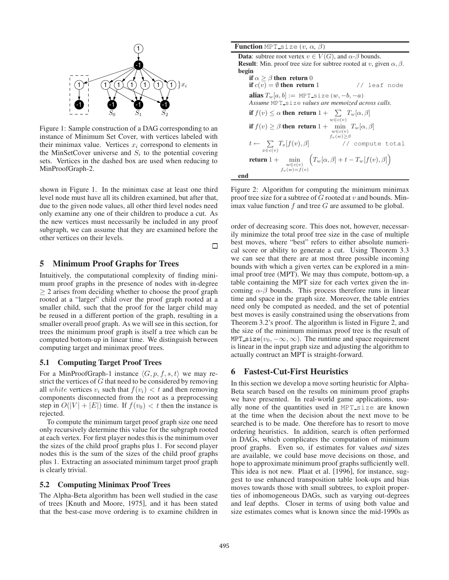

Figure 1: Sample construction of a DAG corresponding to an instance of Minimum Set Cover, with vertices labeled with their minimax value. Vertices  $x_i$  correspond to elements in the MinSetCover universe and  $S_i$  to the potential covering sets. Vertices in the dashed box are used when reducing to MinProofGraph-2.

shown in Figure 1. In the minimax case at least one third level node must have all its children examined, but after that, due to the given node values, all other third level nodes need only examine any one of their children to produce a cut. As the new vertices must necessarily be included in any proof subgraph, we can assume that they are examined before the other vertices on their levels.  $\Box$ 

# 5 Minimum Proof Graphs for Trees

Intuitively, the computational complexity of finding minimum proof graphs in the presence of nodes with in-degree ≥ 2 arises from deciding whether to choose the proof graph rooted at a "larger" child over the proof graph rooted at a smaller child, such that the proof for the larger child may be reused in a different portion of the graph, resulting in a smaller overall proof graph. As we will see in this section, for trees the minimum proof graph is itself a tree which can be computed bottom-up in linear time. We distinguish between computing target and minimax proof trees.

#### 5.1 Computing Target Proof Trees

For a MinProofGraph-1 instance  $\langle G, p, f, s, t \rangle$  we may restrict the vertices of  $G$  that need to be considered by removing all white vertices  $v_i$  such that  $f(v_i) < t$  and then removing components disconnected from the root as a preprocessing step in  $O(|V| + |E|)$  time. If  $f(v_0) < t$  then the instance is rejected.

To compute the minimum target proof graph size one need only recursively determine this value for the subgraph rooted at each vertex. For first player nodes this is the minimum over the sizes of the child proof graphs plus 1. For second player nodes this is the sum of the sizes of the child proof graphs plus 1. Extracting an associated minimum target proof graph is clearly trivial.

#### 5.2 Computing Minimax Proof Trees

The Alpha-Beta algorithm has been well studied in the case of trees [Knuth and Moore, 1975], and it has been stated that the best-case move ordering is to examine children in

**Function** MPT<sub>-Size</sub>( $v$ ,  $\alpha$ ,  $\beta$ ) **Data:** subtree root vertex  $v \in V(G)$ , and  $\alpha$ - $\beta$  bounds. **Result:** Min. proof tree size for subtree rooted at v, given  $\alpha$ ,  $\beta$ . begin if  $\alpha > \beta$  then return 0 if  $c(v) = \emptyset$  then return 1 // leaf node alias  $T_w[a, b] := \text{MPT\_size}(w, -b, -a)$ *Assume* MPT size *values are memoized across calls.* if  $f(v) \leq \alpha$  then return  $1 + \sum T_w[\alpha, \beta]$  $w \in c(v)$ if  $f(v) \ge \beta$  then return  $1 + \min_{\substack{w \in c(v) \\ f_v(w) \ge \beta}}$  $T_w[\alpha,\beta]$  $t \leftarrow \sum_{x \in c(v)}$ // compute total return  $1 + \min$  $w \in c(v)$ <br> $f_v(w)=f(v)$  $\left(T_w[\alpha,\beta]+t-T_w[f(v),\beta]\right)$ end

Figure 2: Algorithm for computing the minimum minimax proof tree size for a subtree of  $G$  rooted at  $v$  and bounds. Minimax value function  $f$  and tree  $G$  are assumed to be global.

order of decreasing score. This does not, however, necessarily minimize the total proof tree size in the case of multiple best moves, where "best" refers to either absolute numerical score or ability to generate a cut. Using Theorem 3.3 we can see that there are at most three possible incoming bounds with which a given vertex can be explored in a minimal proof tree (MPT). We may thus compute, bottom-up, a table containing the MPT size for each vertex given the incoming  $\alpha$ - $\beta$  bounds. This process therefore runs in linear time and space in the graph size. Moreover, the table entries need only be computed as needed, and the set of potential best moves is easily constrained using the observations from Theorem 3.2's proof. The algorithm is listed in Figure 2, and the size of the minimum minimax proof tree is the result of MPT\_size( $v_0, -\infty, \infty$ ). The runtime and space requirement is linear in the input graph size and adjusting the algorithm to actually contruct an MPT is straight-forward.

### 6 Fastest-Cut-First Heuristics

In this section we develop a move sorting heuristic for Alpha-Beta search based on the results on minimum proof graphs we have presented. In real-world game applications, usually none of the quantities used in MPT size are known at the time when the decision about the next move to be searched is to be made. One therefore has to resort to move ordering heuristics. In addition, search is often performed in DAGs, which complicates the computation of minimum proof graphs. Even so, if estimates for values *and* sizes are available, we could base move decisions on those, and hope to approximate minimum proof graphs sufficiently well. This idea is not new. Plaat et al. [1996], for instance, suggest to use enhanced transposition table look-ups and bias moves towards those with small subtrees, to exploit properties of inhomogeneous DAGs, such as varying out-degrees and leaf depths. Closer in terms of using both value and size estimates comes what is known since the mid-1990s as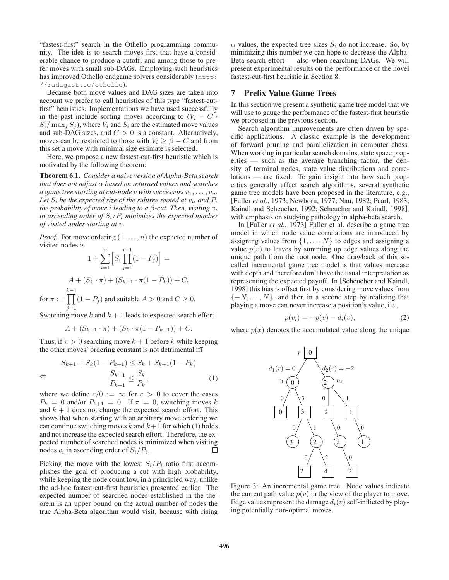"fastest-first" search in the Othello programming community. The idea is to search moves first that have a considerable chance to produce a cutoff, and among those to prefer moves with small sub-DAGs. Employing such heuristics has improved Othello endgame solvers considerably (http: //radagast.se/othello).

Because both move values and DAG sizes are taken into account we prefer to call heuristics of this type "fastest-cutfirst" heuristics. Implementations we have used successfully in the past include sorting moves according to  $(V_i - C$ .  $S_i/\max_j S_j$ , where  $V_i$  and  $S_i$  are the estimated move values and sub-DAG sizes, and  $C > 0$  is a constant. Alternatively, moves can be restricted to those with  $V_i \geq \beta - C$  and from this set a move with minimal size estimate is selected.

Here, we propose a new fastest-cut-first heuristic which is motivated by the following theorem:

Theorem 6.1. *Consider a naive version of Alpha-Beta search that does not adjust* α *based on returned values and searches a game tree starting at cut-node v with successors*  $v_1, \ldots, v_n$ *.* Let  $S_i$  be the expected size of the subtree rooted at  $v_i$ , and  $P_i$ *the probability of move i leading to a*  $\beta$ *-cut. Then, visiting*  $v_i$ *in ascending order of*  $S_i/P_i$  *minimizes the expected number of visited nodes starting at* v*.*

*Proof.* For move ordering  $(1, \ldots, n)$  the expected number of visited nodes is

$$
1 + \sum_{i=1}^{n} \left[ S_i \prod_{j=1}^{i-1} (1 - P_j) \right] =
$$
  

$$
A + (S_k \cdot \pi) + (S_{k+1} \cdot \pi (1 - P_k)) + C,
$$
  
for  $\pi := \prod_{i=1}^{k-1} (1 - P_j)$  and suitable  $A > 0$  and  $C \ge 0$ .

Switching move  $k$  and  $k + 1$  leads to expected search effort

$$
A + (S_{k+1} \cdot \pi) + (S_k \cdot \pi(1 - P_{k+1})) + C.
$$

Thus, if  $\pi > 0$  searching move  $k + 1$  before k while keeping the other moves' ordering constant is not detrimental iff

$$
S_{k+1} + S_k(1 - P_{k+1}) \le S_k + S_{k+1}(1 - P_k)
$$
  
\n
$$
\Leftrightarrow \qquad \frac{S_{k+1}}{P_{k+1}} \le \frac{S_k}{P_k}, \tag{1}
$$

where we define  $c/0 := \infty$  for  $c > 0$  to cover the cases  $P_k = 0$  and/or  $P_{k+1} = 0$ . If  $\pi = 0$ , switching moves k and  $k + 1$  does not change the expected search effort. This shows that when starting with an arbitrary move ordering we can continue switching moves k and  $k+1$  for which (1) holds and not increase the expected search effort. Therefore, the expected number of searched nodes is minimized when visiting nodes  $v_i$  in ascending order of  $S_i/P_i$ . П

Picking the move with the lowest  $S_i/P_i$  ratio first accomplishes the goal of producing a cut with high probability, while keeping the node count low, in a principled way, unlike the ad-hoc fastest-cut-first heuristics presented earlier. The expected number of searched nodes established in the theorem is an upper bound on the actual number of nodes the true Alpha-Beta algorithm would visit, because with rising  $\alpha$  values, the expected tree sizes  $S_i$  do not increase. So, by minimizing this number we can hope to decrease the Alpha-Beta search effort — also when searching DAGs. We will present experimental results on the performance of the novel fastest-cut-first heuristic in Section 8.

### 7 Prefix Value Game Trees

In this section we present a synthetic game tree model that we will use to gauge the performance of the fastest-first heuristic we proposed in the previous section.

Search algorithm improvements are often driven by specific applications. A classic example is the development of forward pruning and parallelization in computer chess. When working in particular search domains, state space properties — such as the average branching factor, the density of terminal nodes, state value distributions and correlations — are fixed. To gain insight into how such properties generally affect search algorithms, several synthetic game tree models have been proposed in the literature, e.g., [Fuller *et al.*, 1973; Newborn, 1977; Nau, 1982; Pearl, 1983; Kaindl and Scheucher, 1992; Scheucher and Kaindl, 1998], with emphasis on studying pathology in alpha-beta search.

In [Fuller *et al.*, 1973] Fuller et al. describe a game tree model in which node value correlations are introduced by assigning values from  $\{1, \ldots, N\}$  to edges and assigning a value  $p(v)$  to leaves by summing up edge values along the unique path from the root node. One drawback of this socalled incremental game tree model is that values increase with depth and therefore don't have the usual interpretation as representing the expected payoff. In [Scheucher and Kaindl, 1998] this bias is offset first by considering move values from  ${-N, \ldots, N}$ , and then in a second step by realizing that playing a move can never increase a position's value, i.e.,

$$
p(v_i) = -p(v) - d_i(v),
$$
 (2)

where  $p(x)$  denotes the accumulated value along the unique



Figure 3: An incremental game tree. Node values indicate the current path value  $p(v)$  in the view of the player to move. Edge values represent the damage  $d_i(v)$  self-inflicted by playing potentially non-optimal moves.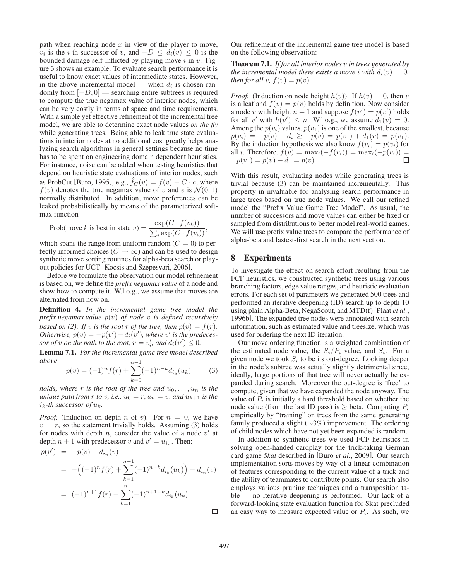path when reaching node  $x$  in view of the player to move,  $v_i$  is the *i*-th successor of v, and  $-D \leq d_i(v) \leq 0$  is the bounded damage self-inflicted by playing move  $i$  in  $v$ . Figure 3 shows an example. To evaluate search performance it is useful to know exact values of intermediate states. However, in the above incremental model — when  $d_i$  is chosen randomly from [−D, 0] — searching entire subtrees is required to compute the true negamax value of interior nodes, which can be very costly in terms of space and time requirements. With a simple yet effective refinement of the incremental tree model, we are able to determine exact node values *on the fly* while generating trees. Being able to leak true state evaluations in interior nodes at no additional cost greatly helps analyzing search algorithms in general settings because no time has to be spent on engineering domain dependent heuristics. For instance, noise can be added when testing heuristics that depend on heuristic state evaluations of interior nodes, such as ProbCut [Buro, 1995], e.g.,  $f_C(v) = f(v) + C \cdot e$ , where  $f(v)$  denotes the true negamax value of v and e is  $\mathcal{N}(0, 1)$ normally distributed. In addition, move preferences can be leaked probabilistically by means of the parameterized softmax function

$$
\text{Prob}(\text{move } k \text{ is best in state } v) = \frac{\exp(C \cdot f(v_k))}{\sum_i \exp(C \cdot f(v_i))},
$$

which spans the range from uniform random  $(C = 0)$  to perfectly informed choices ( $C \rightarrow \infty$ ) and can be used to design synthetic move sorting routines for alpha-beta search or playout policies for UCT [Kocsis and Szepesvari, 2006].

Before we formulate the observation our model refinement is based on, we define the *prefix negamax value* of a node and show how to compute it. W.l.o.g., we assume that moves are alternated from now on.

Definition 4. *In the incremental game tree model the prefix negamax value* p(v) *of node* v *is defined recursively based on (2): If v is the root* r *of the tree, then*  $p(v) = f(r)$ *. Otherwise,*  $p(v) = -p(v') - d_i(v')$ , where v' is the predecessor of *v* on the path to the root,  $v = v'_i$ , and  $d_i(v') \leq 0$ .

Lemma 7.1. *For the incremental game tree model described above* n

$$
p(v) = (-1)^n f(r) + \sum_{k=0}^{n-1} (-1)^{n-k} d_{i_k}(u_k)
$$
 (3)

*holds, where* r *is the root of the tree and*  $u_0, \ldots, u_n$  *is the unique path from*  $r$  *to*  $v$ *, i.e.,*  $u_0 = r$ *,*  $u_n = v$ *, and*  $u_{k+1}$  *is the*  $i_k$ -th successor of  $u_k$ .

*Proof.* (Induction on depth n of v). For  $n = 0$ , we have  $v = r$ , so the statement trivially holds. Assuming (3) holds for nodes with depth *n*, consider the value of a node  $v'$  at depth  $n + 1$  with predecessor v and  $v' = u_{i_n}$ . Then:

$$
p(v') = -p(v) - d_{i_n}(v)
$$
  
= 
$$
-((-1)^n f(r) + \sum_{k=1}^{n-1} (-1)^{n-k} d_{i_k}(u_k)) - d_{i_n}(v)
$$
  
= 
$$
(-1)^{n+1} f(r) + \sum_{k=1}^{n} (-1)^{n+1-k} d_{i_k}(u_k)
$$

Our refinement of the incremental game tree model is based on the following observation:

Theorem 7.1. *If for all interior nodes* v *in trees generated by the incremental model there exists a move i with*  $d_i(v)=0$ , *then for all*  $v$ *,*  $f(v) = p(v)$ *.* 

*Proof.* (Induction on node height  $h(v)$ ). If  $h(v)=0$ , then v is a leaf and  $f(v) = p(v)$  holds by definition. Now consider a node v with height  $n + 1$  and suppose  $f(v') = p(v')$  holds for all v' with  $h(v') \leq n$ . W.l.o.g., we assume  $d_1(v) = 0$ . Among the  $p(v_i)$  values,  $p(v_1)$  is one of the smallest, because  $p(v_i) = -p(v) - d_i \geq -p(v) = p(v_1) + d_1(v) = p(v_1).$ By the induction hypothesis we also know  $f(v_i) = p(v_i)$  for all *i*. Therefore,  $f(v) = \max_i(-f(v_i)) = \max_i(-p(v_i)) =$  $-p(v_1) = p(v) + d_1 = p(v).$  $\Box$ 

With this result, evaluating nodes while generating trees is trivial because (3) can be maintained incrementally. This property in invaluable for analysing search performance in large trees based on true node values. We call our refined model the "Prefix Value Game Tree Model". As usual, the number of successors and move values can either be fixed or sampled from distributions to better model real-world games. We will use prefix value trees to compare the performance of alpha-beta and fastest-first search in the next section.

# 8 Experiments

To investigate the effect on search effort resulting from the FCF heuristics, we constructed synthetic trees using various branching factors, edge value ranges, and heuristic evaluation errors. For each set of parameters we generated 500 trees and performed an iterative deepening (ID) search up to depth 10 using plain Alpha-Beta, NegaScout, and MTD(f) [Plaat *et al.*, 1996b]. The expanded tree nodes were annotated with search information, such as estimated value and treesize, which was used for ordering the next ID iteration.

Our move ordering function is a weighted combination of the estimated node value, the  $S_i/P_i$  value, and  $S_i$ . For a given node we took  $S_i$  to be its out-degree. Looking deeper in the node's subtree was actually slightly detrimental since, ideally, large portions of that tree will never actually be expanded during search. Moreover the out-degree is 'free' to compute, given that we have expanded the node anyway. The value of  $P_i$  is initially a hard threshold based on whether the node value (from the last ID pass) is  $\geq$  beta. Computing  $P_i$ empirically by "training" on trees from the same generating family produced a slight (∼3%) improvement. The ordering of child nodes which have not yet been expanded is random.

In addition to synthetic trees we used FCF heuristics in solving open-handed cardplay for the trick-taking German card game *Skat* described in [Buro *et al.*, 2009]. Our search implementation sorts moves by way of a linear combination of features corresponding to the current value of a trick and the ability of teammates to contribute points. Our search also employs various pruning techniques and a transposition table — no iterative deepening is performed. Our lack of a forward-looking state evaluation function for Skat precluded an easy way to measure expected value or  $P_i$ . As such, we